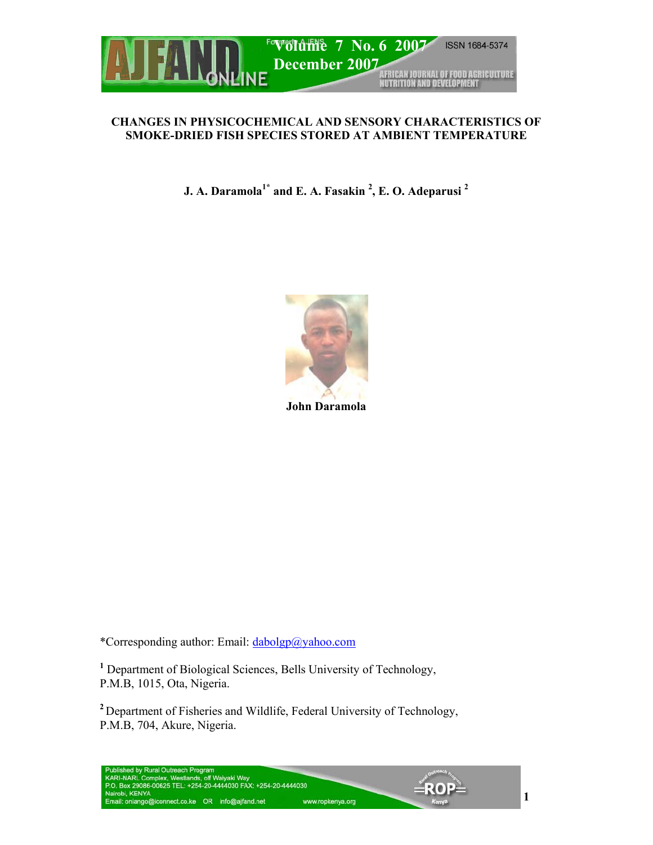

### **CHANGES IN PHYSICOCHEMICAL AND SENSORY CHARACTERISTICS OF SMOKE-DRIED FISH SPECIES STORED AT AMBIENT TEMPERATURE**

**J.** A. Daramola<sup>1\*</sup> and E. A. Fasakin <sup>2</sup>, E. O. Adeparusi <sup>2</sup>



**John Daramola** 

\*Corresponding author: Email: dabolgp@yahoo.com

**<sup>1</sup>** Department of Biological Sciences, Bells University of Technology, P.M.B, 1015, Ota, Nigeria.

**<sup>2</sup>** Department of Fisheries and Wildlife, Federal University of Technology, P.M.B, 704, Akure, Nigeria.

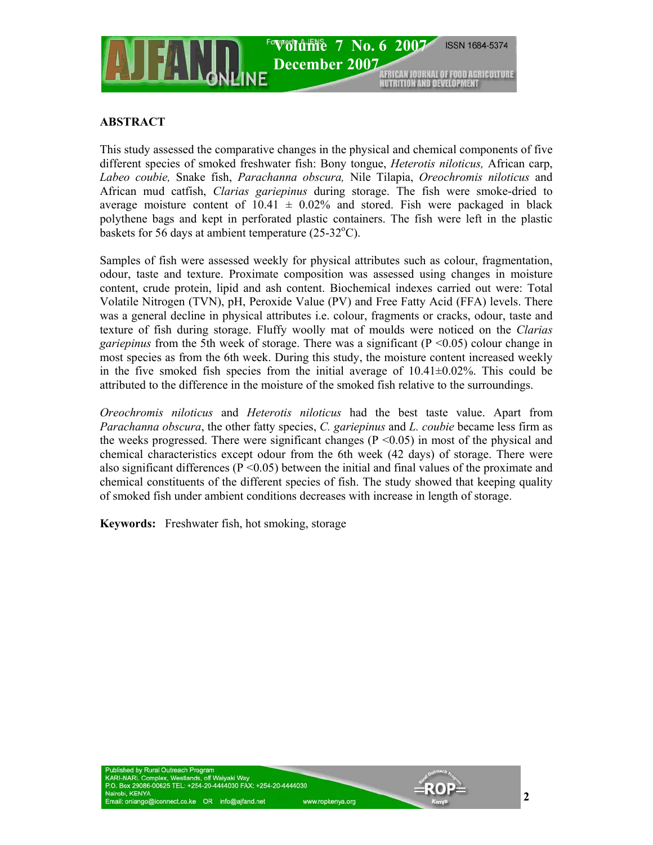

## **ABSTRACT**

This study assessed the comparative changes in the physical and chemical components of five different species of smoked freshwater fish: Bony tongue, *Heterotis niloticus,* African carp, *Labeo coubie,* Snake fish, *Parachanna obscura,* Nile Tilapia, *Oreochromis niloticus* and African mud catfish, *Clarias gariepinus* during storage. The fish were smoke-dried to average moisture content of  $10.41 \pm 0.02\%$  and stored. Fish were packaged in black polythene bags and kept in perforated plastic containers. The fish were left in the plastic baskets for 56 days at ambient temperature  $(25-32^{\circ}C)$ .

Samples of fish were assessed weekly for physical attributes such as colour, fragmentation, odour, taste and texture. Proximate composition was assessed using changes in moisture content, crude protein, lipid and ash content. Biochemical indexes carried out were: Total Volatile Nitrogen (TVN), pH, Peroxide Value (PV) and Free Fatty Acid (FFA) levels. There was a general decline in physical attributes i.e. colour, fragments or cracks, odour, taste and texture of fish during storage. Fluffy woolly mat of moulds were noticed on the *Clarias gariepinus* from the 5th week of storage. There was a significant (P <0.05) colour change in most species as from the 6th week. During this study, the moisture content increased weekly in the five smoked fish species from the initial average of  $10.41 \pm 0.02\%$ . This could be attributed to the difference in the moisture of the smoked fish relative to the surroundings.

*Oreochromis niloticus* and *Heterotis niloticus* had the best taste value. Apart from *Parachanna obscura*, the other fatty species, *C. gariepinus* and *L. coubie* became less firm as the weeks progressed. There were significant changes ( $P \le 0.05$ ) in most of the physical and chemical characteristics except odour from the 6th week (42 days) of storage. There were also significant differences ( $P \le 0.05$ ) between the initial and final values of the proximate and chemical constituents of the different species of fish. The study showed that keeping quality of smoked fish under ambient conditions decreases with increase in length of storage.

**Keywords:** Freshwater fish, hot smoking, storage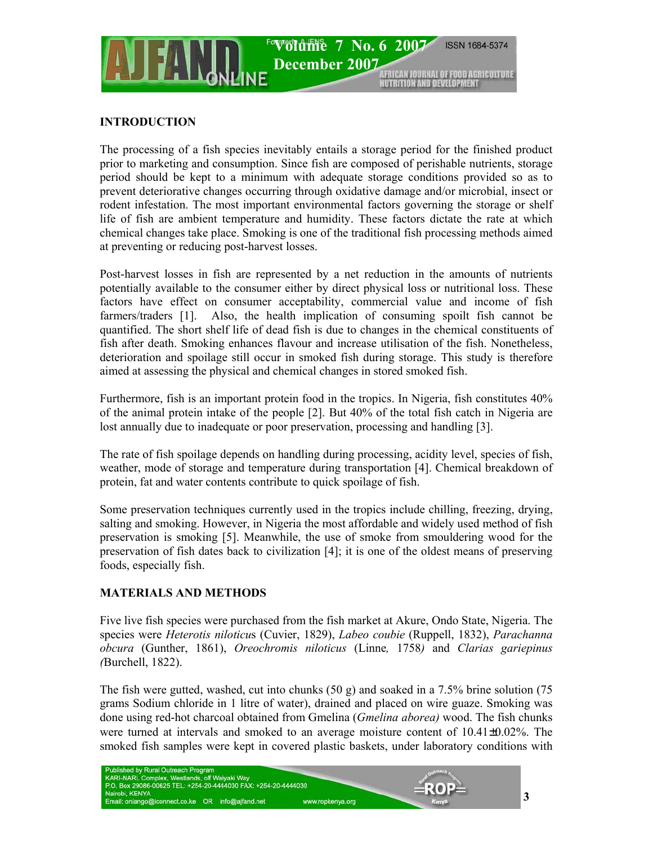

### **INTRODUCTION**

The processing of a fish species inevitably entails a storage period for the finished product prior to marketing and consumption. Since fish are composed of perishable nutrients, storage period should be kept to a minimum with adequate storage conditions provided so as to prevent deteriorative changes occurring through oxidative damage and/or microbial, insect or rodent infestation. The most important environmental factors governing the storage or shelf life of fish are ambient temperature and humidity. These factors dictate the rate at which chemical changes take place. Smoking is one of the traditional fish processing methods aimed at preventing or reducing post-harvest losses.

Post-harvest losses in fish are represented by a net reduction in the amounts of nutrients potentially available to the consumer either by direct physical loss or nutritional loss. These factors have effect on consumer acceptability, commercial value and income of fish farmers/traders [1]. Also, the health implication of consuming spoilt fish cannot be quantified. The short shelf life of dead fish is due to changes in the chemical constituents of fish after death. Smoking enhances flavour and increase utilisation of the fish. Nonetheless, deterioration and spoilage still occur in smoked fish during storage. This study is therefore aimed at assessing the physical and chemical changes in stored smoked fish.

Furthermore, fish is an important protein food in the tropics. In Nigeria, fish constitutes 40% of the animal protein intake of the people [2]. But 40% of the total fish catch in Nigeria are lost annually due to inadequate or poor preservation, processing and handling [3].

The rate of fish spoilage depends on handling during processing, acidity level, species of fish, weather, mode of storage and temperature during transportation [4]. Chemical breakdown of protein, fat and water contents contribute to quick spoilage of fish.

Some preservation techniques currently used in the tropics include chilling, freezing, drying, salting and smoking. However, in Nigeria the most affordable and widely used method of fish preservation is smoking [5]. Meanwhile, the use of smoke from smouldering wood for the preservation of fish dates back to civilization [4]; it is one of the oldest means of preserving foods, especially fish.

### **MATERIALS AND METHODS**

Five live fish species were purchased from the fish market at Akure, Ondo State, Nigeria. The species were *Heterotis niloticu*s (Cuvier, 1829), *Labeo coubie* (Ruppell, 1832), *Parachanna obcura* (Gunther, 1861), *Oreochromis niloticus* (Linne*,* 1758*)* and *Clarias gariepinus (*Burchell, 1822).

The fish were gutted, washed, cut into chunks  $(50 \text{ g})$  and soaked in a 7.5% brine solution  $(75 \text{ g})$ grams Sodium chloride in 1 litre of water), drained and placed on wire guaze. Smoking was done using red-hot charcoal obtained from Gmelina (*Gmelina aborea)* wood. The fish chunks were turned at intervals and smoked to an average moisture content of 10.41±0.02%. The smoked fish samples were kept in covered plastic baskets, under laboratory conditions with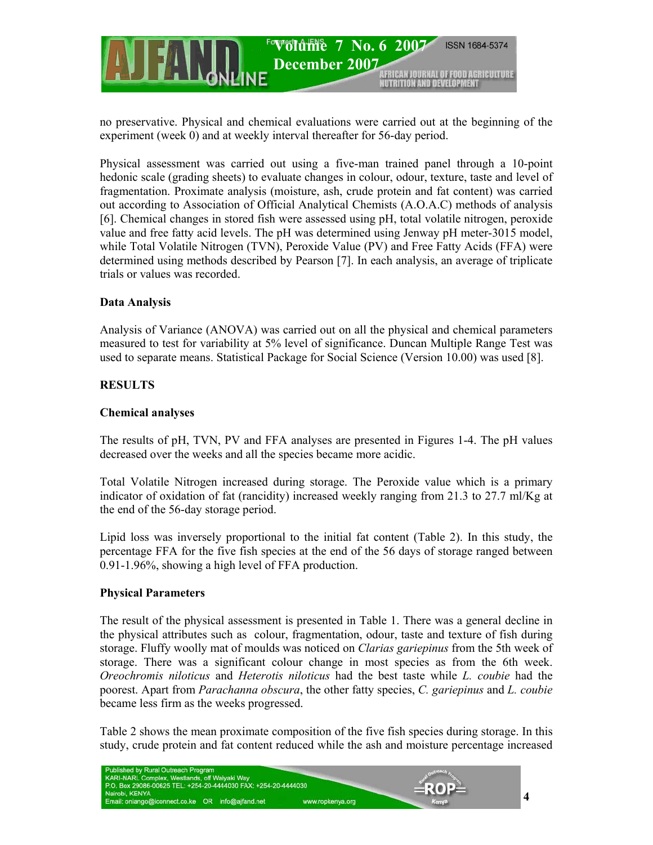

no preservative. Physical and chemical evaluations were carried out at the beginning of the experiment (week 0) and at weekly interval thereafter for 56-day period.

Physical assessment was carried out using a five-man trained panel through a 10-point hedonic scale (grading sheets) to evaluate changes in colour, odour, texture, taste and level of fragmentation. Proximate analysis (moisture, ash, crude protein and fat content) was carried out according to Association of Official Analytical Chemists (A.O.A.C) methods of analysis [6]. Chemical changes in stored fish were assessed using pH, total volatile nitrogen, peroxide value and free fatty acid levels. The pH was determined using Jenway pH meter-3015 model, while Total Volatile Nitrogen (TVN), Peroxide Value (PV) and Free Fatty Acids (FFA) were determined using methods described by Pearson [7]. In each analysis, an average of triplicate trials or values was recorded.

### **Data Analysis**

Analysis of Variance (ANOVA) was carried out on all the physical and chemical parameters measured to test for variability at 5% level of significance. Duncan Multiple Range Test was used to separate means. Statistical Package for Social Science (Version 10.00) was used [8].

### **RESULTS**

### **Chemical analyses**

The results of pH, TVN, PV and FFA analyses are presented in Figures 1-4. The pH values decreased over the weeks and all the species became more acidic.

Total Volatile Nitrogen increased during storage. The Peroxide value which is a primary indicator of oxidation of fat (rancidity) increased weekly ranging from 21.3 to 27.7 ml/Kg at the end of the 56-day storage period.

Lipid loss was inversely proportional to the initial fat content (Table 2). In this study, the percentage FFA for the five fish species at the end of the 56 days of storage ranged between 0.91-1.96%, showing a high level of FFA production.

### **Physical Parameters**

The result of the physical assessment is presented in Table 1. There was a general decline in the physical attributes such as colour, fragmentation, odour, taste and texture of fish during storage. Fluffy woolly mat of moulds was noticed on *Clarias gariepinus* from the 5th week of storage. There was a significant colour change in most species as from the 6th week. *Oreochromis niloticus* and *Heterotis niloticus* had the best taste while *L. coubie* had the poorest. Apart from *Parachanna obscura*, the other fatty species, *C. gariepinus* and *L. coubie*  became less firm as the weeks progressed.

Table 2 shows the mean proximate composition of the five fish species during storage. In this study, crude protein and fat content reduced while the ash and moisture percentage increased

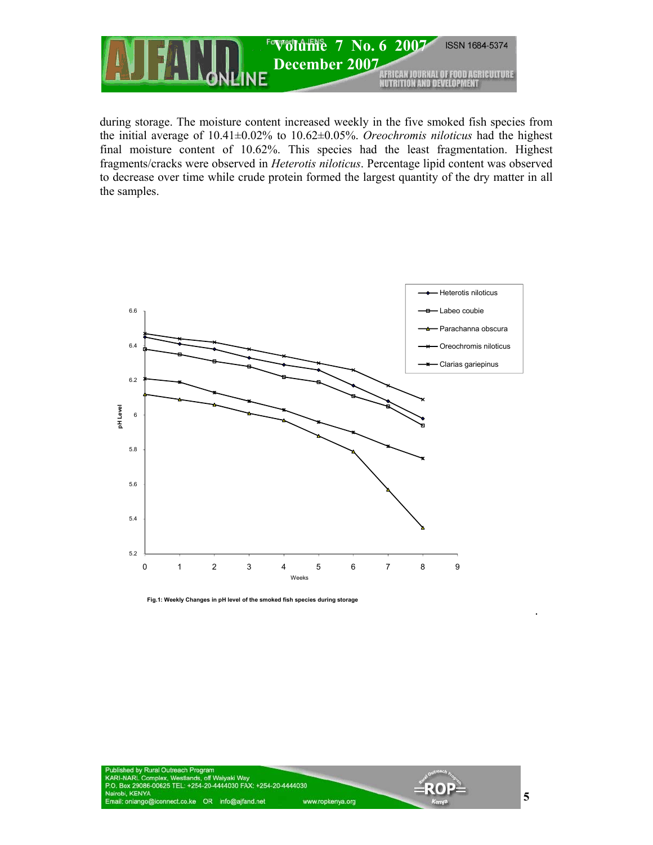

during storage. The moisture content increased weekly in the five smoked fish species from the initial average of 10.41±0.02% to 10.62±0.05%. *Oreochromis niloticus* had the highest final moisture content of 10.62%. This species had the least fragmentation. Highest fragments/cracks were observed in *Heterotis niloticus*. Percentage lipid content was observed to decrease over time while crude protein formed the largest quantity of the dry matter in all the samples.



**Fig.1: Weekly Changes in pH level of the smoked fish species during storage**



**5**

.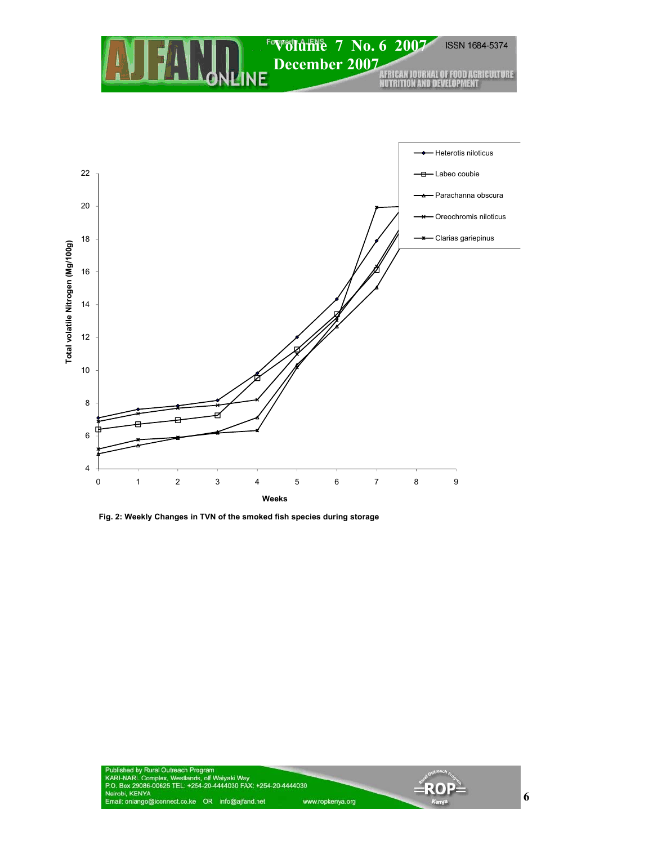# **ISSN 1684-5374** *EVolume* 7 No. 6 2007 **December 2007**



**Fig. 2: Weekly Changes in TVN of the smoked fish species during storage**



-ROI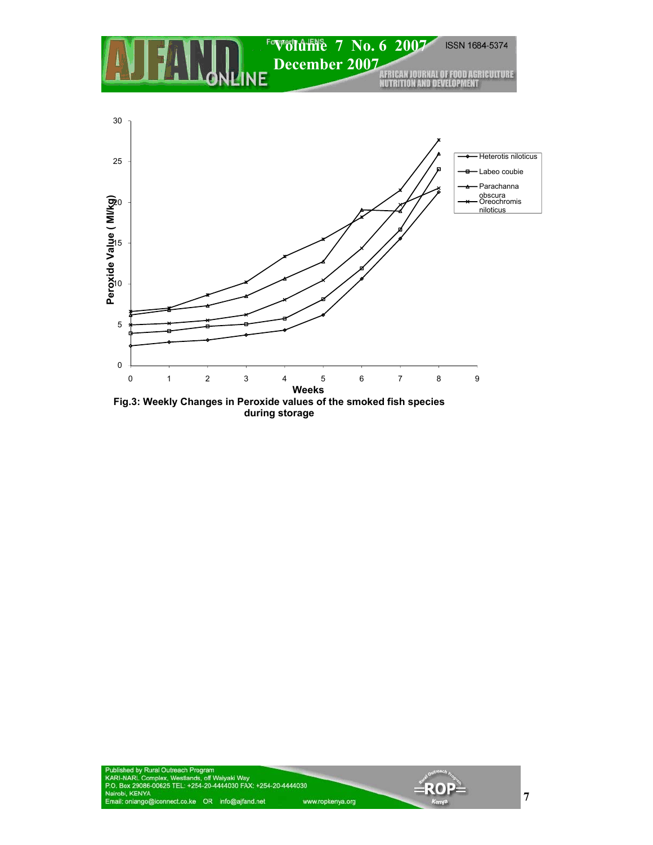

**during storage**

 $=$ ROF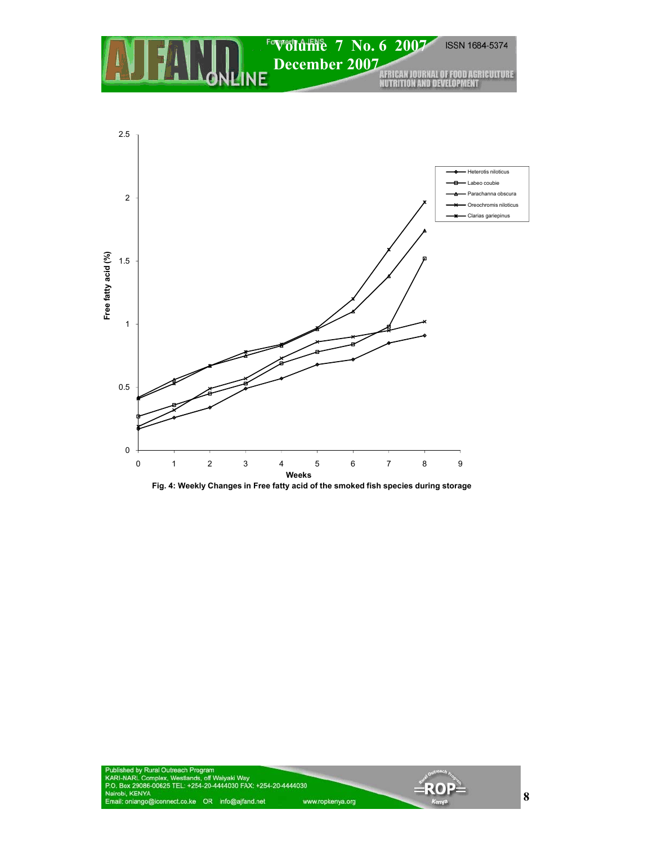### ISSN 1684-5374 *EVolume* 7 No. 6 2007 **December 2007**  H.



-RO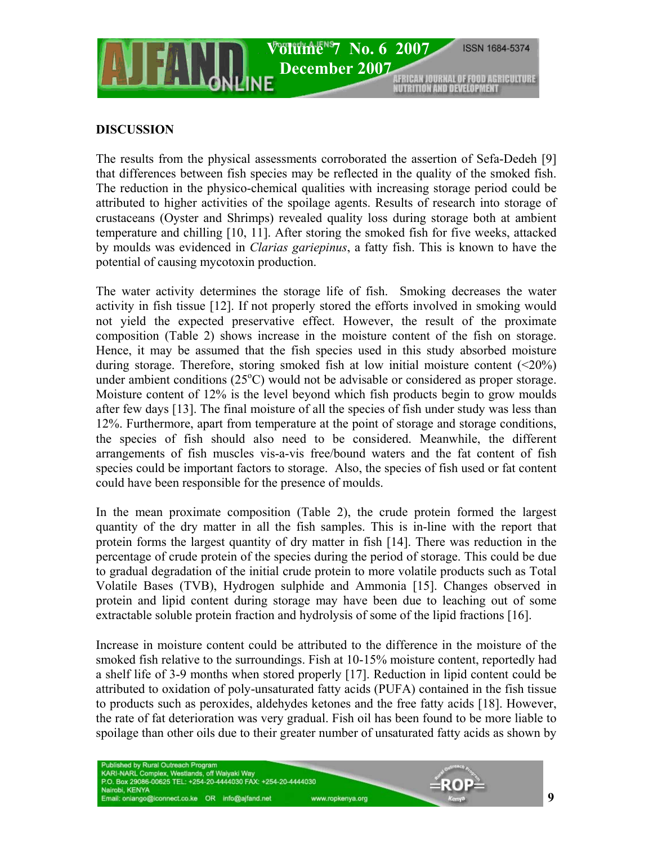

## **DISCUSSION**

The results from the physical assessments corroborated the assertion of Sefa-Dedeh [9] that differences between fish species may be reflected in the quality of the smoked fish. The reduction in the physico-chemical qualities with increasing storage period could be attributed to higher activities of the spoilage agents. Results of research into storage of crustaceans (Oyster and Shrimps) revealed quality loss during storage both at ambient temperature and chilling [10, 11]. After storing the smoked fish for five weeks, attacked by moulds was evidenced in *Clarias gariepinus*, a fatty fish. This is known to have the potential of causing mycotoxin production.

The water activity determines the storage life of fish. Smoking decreases the water activity in fish tissue [12]. If not properly stored the efforts involved in smoking would not yield the expected preservative effect. However, the result of the proximate composition (Table 2) shows increase in the moisture content of the fish on storage. Hence, it may be assumed that the fish species used in this study absorbed moisture during storage. Therefore, storing smoked fish at low initial moisture content  $(\leq 20\%)$ under ambient conditions  $(25^{\circ}$ C) would not be advisable or considered as proper storage. Moisture content of 12% is the level beyond which fish products begin to grow moulds after few days [13]. The final moisture of all the species of fish under study was less than 12%. Furthermore, apart from temperature at the point of storage and storage conditions, the species of fish should also need to be considered. Meanwhile, the different arrangements of fish muscles vis-a-vis free/bound waters and the fat content of fish species could be important factors to storage. Also, the species of fish used or fat content could have been responsible for the presence of moulds.

In the mean proximate composition (Table 2), the crude protein formed the largest quantity of the dry matter in all the fish samples. This is in-line with the report that protein forms the largest quantity of dry matter in fish [14]. There was reduction in the percentage of crude protein of the species during the period of storage. This could be due to gradual degradation of the initial crude protein to more volatile products such as Total Volatile Bases (TVB), Hydrogen sulphide and Ammonia [15]. Changes observed in protein and lipid content during storage may have been due to leaching out of some extractable soluble protein fraction and hydrolysis of some of the lipid fractions [16].

Increase in moisture content could be attributed to the difference in the moisture of the smoked fish relative to the surroundings. Fish at 10-15% moisture content, reportedly had a shelf life of 3-9 months when stored properly [17]. Reduction in lipid content could be attributed to oxidation of poly-unsaturated fatty acids (PUFA) contained in the fish tissue to products such as peroxides, aldehydes ketones and the free fatty acids [18]. However, the rate of fat deterioration was very gradual. Fish oil has been found to be more liable to spoilage than other oils due to their greater number of unsaturated fatty acids as shown by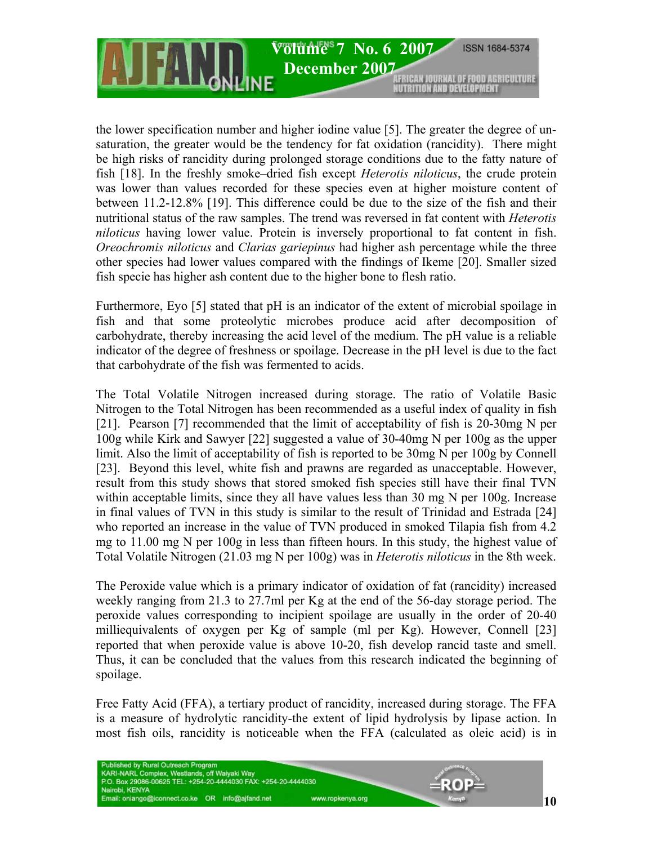

the lower specification number and higher iodine value [5]. The greater the degree of unsaturation, the greater would be the tendency for fat oxidation (rancidity). There might be high risks of rancidity during prolonged storage conditions due to the fatty nature of fish [18]. In the freshly smoke–dried fish except *Heterotis niloticus*, the crude protein was lower than values recorded for these species even at higher moisture content of between 11.2-12.8% [19]. This difference could be due to the size of the fish and their nutritional status of the raw samples. The trend was reversed in fat content with *Heterotis niloticus* having lower value. Protein is inversely proportional to fat content in fish. *Oreochromis niloticus* and *Clarias gariepinus* had higher ash percentage while the three other species had lower values compared with the findings of Ikeme [20]. Smaller sized fish specie has higher ash content due to the higher bone to flesh ratio.

Furthermore, Eyo [5] stated that pH is an indicator of the extent of microbial spoilage in fish and that some proteolytic microbes produce acid after decomposition of carbohydrate, thereby increasing the acid level of the medium. The pH value is a reliable indicator of the degree of freshness or spoilage. Decrease in the pH level is due to the fact that carbohydrate of the fish was fermented to acids.

The Total Volatile Nitrogen increased during storage. The ratio of Volatile Basic Nitrogen to the Total Nitrogen has been recommended as a useful index of quality in fish [21]. Pearson [7] recommended that the limit of acceptability of fish is 20-30mg N per 100g while Kirk and Sawyer [22] suggested a value of 30-40mg N per 100g as the upper limit. Also the limit of acceptability of fish is reported to be 30mg N per 100g by Connell [23]. Beyond this level, white fish and prawns are regarded as unacceptable. However, result from this study shows that stored smoked fish species still have their final TVN within acceptable limits, since they all have values less than 30 mg N per 100g. Increase in final values of TVN in this study is similar to the result of Trinidad and Estrada [24] who reported an increase in the value of TVN produced in smoked Tilapia fish from 4.2 mg to 11.00 mg N per 100g in less than fifteen hours. In this study, the highest value of Total Volatile Nitrogen (21.03 mg N per 100g) was in *Heterotis niloticus* in the 8th week.

The Peroxide value which is a primary indicator of oxidation of fat (rancidity) increased weekly ranging from 21.3 to 27.7ml per Kg at the end of the 56-day storage period. The peroxide values corresponding to incipient spoilage are usually in the order of 20-40 milliequivalents of oxygen per Kg of sample (ml per Kg). However, Connell [23] reported that when peroxide value is above 10-20, fish develop rancid taste and smell. Thus, it can be concluded that the values from this research indicated the beginning of spoilage.

Free Fatty Acid (FFA), a tertiary product of rancidity, increased during storage. The FFA is a measure of hydrolytic rancidity-the extent of lipid hydrolysis by lipase action. In most fish oils, rancidity is noticeable when the FFA (calculated as oleic acid) is in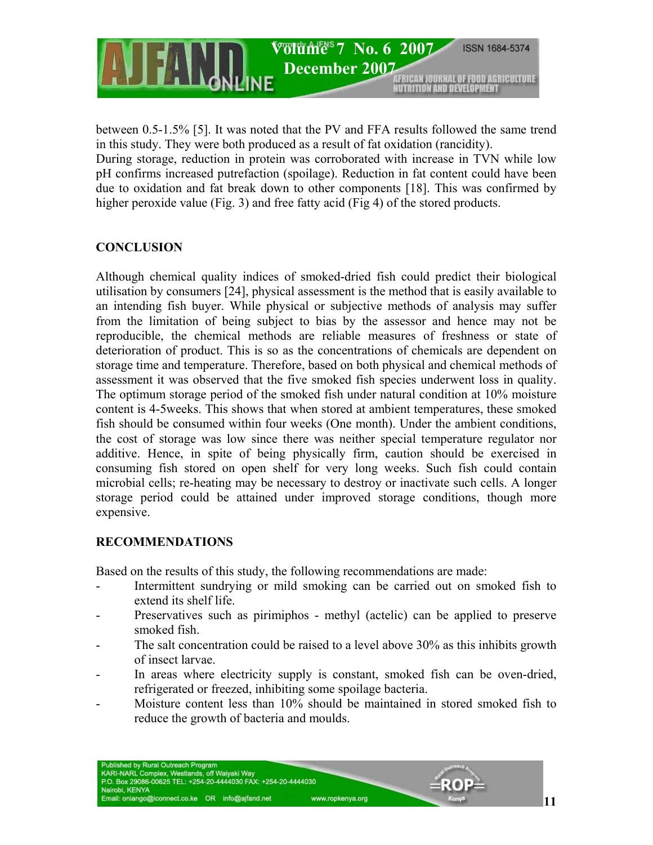

between 0.5-1.5% [5]. It was noted that the PV and FFA results followed the same trend in this study. They were both produced as a result of fat oxidation (rancidity). During storage, reduction in protein was corroborated with increase in TVN while low pH confirms increased putrefaction (spoilage). Reduction in fat content could have been due to oxidation and fat break down to other components [18]. This was confirmed by higher peroxide value (Fig. 3) and free fatty acid (Fig 4) of the stored products.

# **CONCLUSION**

Although chemical quality indices of smoked-dried fish could predict their biological utilisation by consumers [24], physical assessment is the method that is easily available to an intending fish buyer. While physical or subjective methods of analysis may suffer from the limitation of being subject to bias by the assessor and hence may not be reproducible, the chemical methods are reliable measures of freshness or state of deterioration of product. This is so as the concentrations of chemicals are dependent on storage time and temperature. Therefore, based on both physical and chemical methods of assessment it was observed that the five smoked fish species underwent loss in quality. The optimum storage period of the smoked fish under natural condition at 10% moisture content is 4-5weeks. This shows that when stored at ambient temperatures, these smoked fish should be consumed within four weeks (One month). Under the ambient conditions, the cost of storage was low since there was neither special temperature regulator nor additive. Hence, in spite of being physically firm, caution should be exercised in consuming fish stored on open shelf for very long weeks. Such fish could contain microbial cells; re-heating may be necessary to destroy or inactivate such cells. A longer storage period could be attained under improved storage conditions, though more expensive.

# **RECOMMENDATIONS**

Based on the results of this study, the following recommendations are made:

- Intermittent sundrying or mild smoking can be carried out on smoked fish to extend its shelf life.
- Preservatives such as pirimiphos methyl (actelic) can be applied to preserve smoked fish.
- The salt concentration could be raised to a level above 30% as this inhibits growth of insect larvae.
- In areas where electricity supply is constant, smoked fish can be oven-dried, refrigerated or freezed, inhibiting some spoilage bacteria.
- Moisture content less than 10% should be maintained in stored smoked fish to reduce the growth of bacteria and moulds.

www.ropkenya.org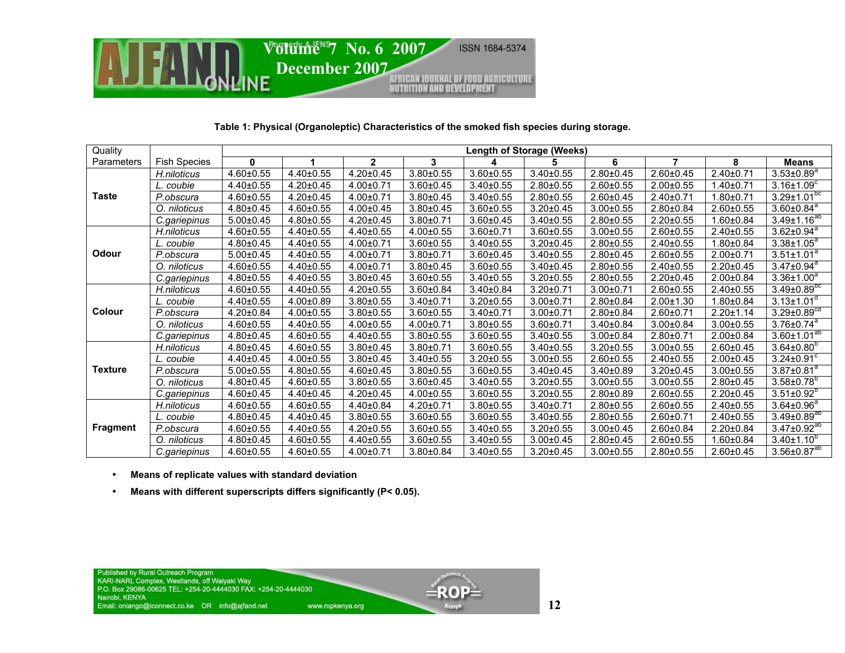

### **Table 1: Physical (Organoleptic) Characteristics of the smoked fish species during storage.**

| Quality         |                     | <b>Length of Storage (Weeks)</b> |                 |                 |                 |                 |                 |                 |                 |                 |                               |
|-----------------|---------------------|----------------------------------|-----------------|-----------------|-----------------|-----------------|-----------------|-----------------|-----------------|-----------------|-------------------------------|
| Parameters      | <b>Fish Species</b> | $\bf{0}$                         |                 | $\overline{2}$  | 3               | 4               | 5               | 6               | 7               | 8               | <b>Means</b>                  |
| <b>Taste</b>    | H.niloticus         | $4.60 \pm 0.55$                  | $4.40 \pm 0.55$ | $4.20 \pm 0.45$ | $3.80 \pm 0.55$ | $3.60 \pm 0.55$ | $3.40 \pm 0.55$ | $2.80 \pm 0.45$ | $2.60 \pm 0.45$ | $2.40 \pm 0.71$ | $3.53 \pm 0.89$ <sup>a</sup>  |
|                 | . coubie            | $4.40 \pm 0.55$                  | $4.20 \pm 0.45$ | $4.00 \pm 0.71$ | $3.60 \pm 0.45$ | $3.40 \pm 0.55$ | $2.80 \pm 0.55$ | $2.60 \pm 0.55$ | $2.00 \pm 0.55$ | $1.40 \pm 0.71$ | $3.16{\pm}1.09^c$             |
|                 | P.obscura           | $4.60 \pm 0.55$                  | $4.20 \pm 0.45$ | $4.00 \pm 0.71$ | $3.80 \pm 0.45$ | $3.40 \pm 0.55$ | $2.80 \pm 0.55$ | $2.60 \pm 0.45$ | $2.40 \pm 0.71$ | $1.80 + 0.71$   | $3.29 \pm 1.01$ <sup>pc</sup> |
|                 | O. niloticus        | $4.80 \pm 0.45$                  | $4.60 \pm 0.55$ | $4.00 \pm 0.45$ | $3.80 \pm 0.45$ | $3.60 \pm 0.55$ | $3.20 \pm 0.45$ | $3.00 \pm 0.55$ | $2.80 \pm 0.84$ | $2.60 \pm 0.55$ | $3.60 \pm 0.84$ <sup>a</sup>  |
|                 | C.gariepinus        | $5.00 \pm 0.45$                  | 4.80±0.55       | $4.20 \pm 0.45$ | $3.80 \pm 0.71$ | $3.60 \pm 0.45$ | $3.40 \pm 0.55$ | $2.80 \pm 0.55$ | $2.20 \pm 0.55$ | $1.60 \pm 0.84$ | $3.49 \pm 1.16^{ab}$          |
| <b>Odour</b>    | H.niloticus         | $4.60 \pm 0.55$                  | 4.40±0.55       | $4.40 \pm 0.55$ | $4.00 \pm 0.55$ | $3.60 \pm 0.71$ | $3.60 \pm 0.55$ | $3.00 \pm 0.55$ | $2.60 \pm 0.55$ | $2.40 \pm 0.55$ | $3.62 \pm 0.94^a$             |
|                 | L. coubie           | $4.80 \pm 0.45$                  | 4.40±0.55       | $4.00 \pm 0.71$ | $3.60 \pm 0.55$ | $3.40 \pm 0.55$ | $3.20 \pm 0.45$ | $2.80 \pm 0.55$ | $2.40 \pm 0.55$ | $1.80 \pm 0.84$ | $3.38 \pm 1.05^a$             |
|                 | P.obscura           | $5.00 \pm 0.45$                  | $4.40 \pm 0.55$ | $4.00 \pm 0.71$ | $3.80 \pm 0.71$ | $3.60 \pm 0.45$ | $3.40 \pm 0.55$ | $2.80 \pm 0.45$ | $2.60 \pm 0.55$ | $2.00+0.71$     | $3.51 \pm 1.01^a$             |
|                 | O. niloticus        | $4.60 \pm 0.55$                  | 4.40±0.55       | $4.00 \pm 0.71$ | $3.80 \pm 0.45$ | $3.60 \pm 0.55$ | $3.40 \pm 0.45$ | $2.80 \pm 0.55$ | $2.40 \pm 0.55$ | $2.20 \pm 0.45$ | $3.47 \pm 0.94$ <sup>a</sup>  |
|                 | C.gariepinus        | $4.80 \pm 0.55$                  | 4.40±0.55       | $3.80 \pm 0.45$ | $3.60 \pm 0.55$ | $3.40 \pm 0.55$ | $3.20 \pm 0.55$ | $2.80 \pm 0.55$ | $2.20 \pm 0.45$ | $2.00 \pm 0.84$ | $3.36 \pm 1.00^a$             |
| Colour          | H.niloticus         | $4.60 \pm 0.55$                  | 4.40±0.55       | $4.20 \pm 0.55$ | $3.60 \pm 0.84$ | $3.40 \pm 0.84$ | $3.20 \pm 0.71$ | $3.00 \pm 0.71$ | $2.60 \pm 0.55$ | $2.40 \pm 0.55$ | $3.49 \pm 0.89$ <sup>bc</sup> |
|                 | . coubie            | $4.40 \pm 0.55$                  | $4.00 \pm 0.89$ | $3.80 \pm 0.55$ | $3.40 \pm 0.71$ | $3.20 \pm 0.55$ | $3.00 \pm 0.71$ | $2.80 \pm 0.84$ | $2.00 \pm 1.30$ | $1.80 \pm 0.84$ | $3.13 \pm 1.01$ <sup>a</sup>  |
|                 | P.obscura           | 4.20±0.84                        | $4.00 \pm 0.55$ | $3.80 \pm 0.55$ | $3.60 \pm 0.55$ | $3.40 \pm 0.71$ | $3.00 \pm 0.71$ | $2.80 \pm 0.84$ | $2.60 \pm 0.71$ | $2.20 \pm 1.14$ | $3.29 \pm 0.89$ <sup>cd</sup> |
|                 | O. niloticus        | $4.60 \pm 0.55$                  | $4.40 \pm 0.55$ | $4.00 \pm 0.55$ | $4.00 \pm 0.71$ | $3.80 \pm 0.55$ | $3.60 + 0.71$   | $3.40 \pm 0.84$ | $3.00 \pm 0.84$ | $3.00 \pm 0.55$ | $3.76 \pm 0.74$ <sup>a</sup>  |
|                 | C.gariepinus        | $4.80 \pm 0.45$                  | 4.60±0.55       | $4.40 \pm 0.55$ | $3.80 \pm 0.55$ | $3.60 \pm 0.55$ | $3.40 \pm 0.55$ | $3.00 \pm 0.84$ | $2.80 \pm 0.71$ | $2.00 \pm 0.84$ | $3.60 \pm 1.01^{ab}$          |
| <b>Texture</b>  | H.niloticus         | $4.80 \pm 0.45$                  | $4.60 + 0.55$   | $3.80 \pm 0.45$ | $3.80 \pm 0.71$ | $3.60 \pm 0.55$ | $3.40 \pm 0.55$ | $3.20 \pm 0.55$ | $3.00 \pm 0.55$ | $2.60 \pm 0.45$ | $3.64 \pm 0.80^b$             |
|                 | L. coubie           | $4.40 \pm 0.45$                  | $4.00 \pm 0.55$ | $3.80 \pm 0.45$ | $3.40 \pm 0.55$ | $3.20 \pm 0.55$ | $3.00 \pm 0.55$ | $2.60 \pm 0.55$ | $2.40 \pm 0.55$ | $2.00 \pm 0.45$ | $3.24 \pm 0.91^c$             |
|                 | P.obscura           | $5.00 \pm 0.55$                  | $4.80 \pm 0.55$ | $4.60 \pm 0.45$ | $3.80 \pm 0.55$ | $3.60 \pm 0.55$ | $3.40 \pm 0.45$ | $3.40 \pm 0.89$ | $3.20 \pm 0.45$ | $3.00 \pm 0.55$ | $3.87 \pm 0.81$ <sup>a</sup>  |
|                 | O. niloticus        | $4.80 \pm 0.45$                  | $4.60 \pm 0.55$ | $3.80 \pm 0.55$ | $3.60 \pm 0.45$ | $3.40 \pm 0.55$ | $3.20 \pm 0.55$ | $3.00 \pm 0.55$ | $3.00 \pm 0.55$ | $2.80 \pm 0.45$ | $3.58 \pm 0.78$ <sup>b</sup>  |
|                 | C.gariepinus        | 4.60±0.45                        | 4.40±0.45       | $4.20 \pm 0.45$ | $4.00 \pm 0.55$ | $3.60 \pm 0.55$ | $3.20 \pm 0.55$ | $2.80 \pm 0.89$ | $2.60 \pm 0.55$ | $2.20 \pm 0.45$ | $3.51 \pm 0.92^b$             |
| <b>Fragment</b> | H.niloticus         | 4.60±0.55                        | 4.60±0.55       | 4.40±0.84       | 4.20±0.71       | $3.80 \pm 0.55$ | 3.40±0.71       | $2.80 \pm 0.55$ | $2.60 \pm 0.55$ | 2.40±0.55       | $3.64 \pm 0.96^a$             |
|                 | L. coubie           | $4.80 \pm 0.45$                  | 4.40±0.45       | $3.80 \pm 0.55$ | $3.60 \pm 0.55$ | $3.60 \pm 0.55$ | $3.40 \pm 0.55$ | $2.80 \pm 0.55$ | $2.60 \pm 0.71$ | $2.40 \pm 0.55$ | $3.49 \pm 0.89^{20}$          |
|                 | P.obscura           | $4.60 \pm 0.55$                  | 4.40±0.55       | $4.20 \pm 0.55$ | $3.60 \pm 0.55$ | $3.40 \pm 0.55$ | $3.20 \pm 0.55$ | $3.00 \pm 0.45$ | $2.60 \pm 0.84$ | 2.20±0.84       | $3.47 \pm 0.92^{ab}$          |
|                 | O. niloticus        | $4.80 \pm 0.45$                  | 4.60±0.55       | 4.40±0.55       | $3.60 \pm 0.55$ | $3.40 \pm 0.55$ | $3.00 \pm 0.45$ | $2.80 \pm 0.45$ | $2.60 \pm 0.55$ | $1.60 \pm 0.84$ | $3.40 \pm 1.10^{b}$           |
|                 | C.gariepinus        | 4.60±0.55                        | $4.60 \pm 0.55$ | $4.00 \pm 0.71$ | 3.80±0.84       | $3.40 \pm 0.55$ | $3.20 \pm 0.45$ | $3.00 \pm 0.55$ | $2.80 \pm 0.55$ | $2.60 \pm 0.45$ | $3.56 \pm 0.87^{ab}$          |

- •**Means of replicate values with standard deviation**
- •**Means with different superscripts differs significantly (P< 0.05).**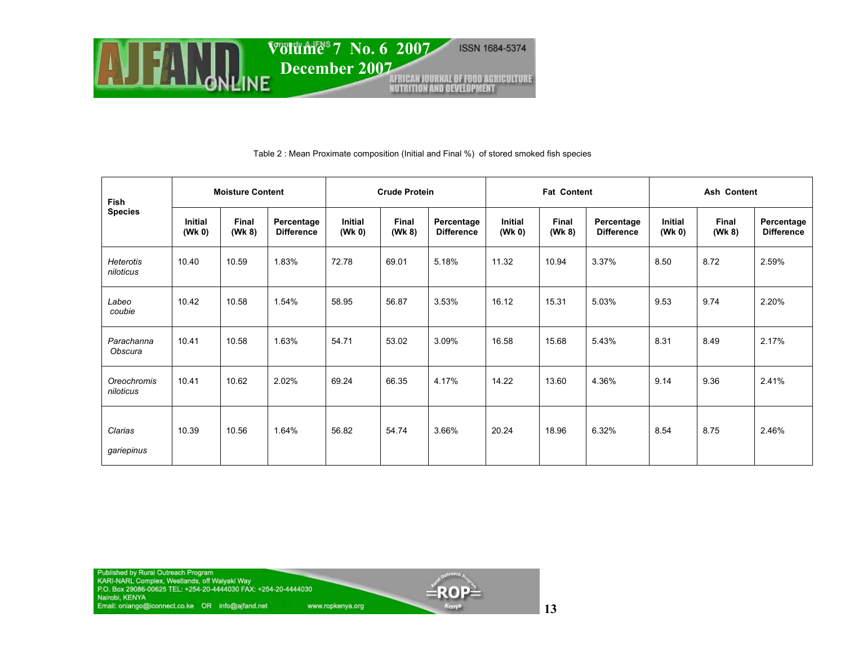

#### Table 2 : Mean Proximate composition (Initial and Final %) of stored smoked fish species

| <b>Fish</b><br><b>Species</b> | <b>Moisture Content</b>  |                        |                                 | <b>Crude Protein</b>     |                        |                                 | <b>Fat Content</b> |                 |                                 | <b>Ash Content</b>       |                        |                                 |
|-------------------------------|--------------------------|------------------------|---------------------------------|--------------------------|------------------------|---------------------------------|--------------------|-----------------|---------------------------------|--------------------------|------------------------|---------------------------------|
|                               | <b>Initial</b><br>(Wk 0) | <b>Final</b><br>(Wk 8) | Percentage<br><b>Difference</b> | <b>Initial</b><br>(Wk 0) | <b>Final</b><br>(Wk 8) | Percentage<br><b>Difference</b> | Initial<br>(Wk 0)  | Final<br>(Wk 8) | Percentage<br><b>Difference</b> | <b>Initial</b><br>(Wk 0) | <b>Final</b><br>(Wk 8) | Percentage<br><b>Difference</b> |
| <b>Heterotis</b><br>niloticus | 10.40                    | 10.59                  | 1.83%                           | 72.78                    | 69.01                  | 5.18%                           | 11.32              | 10.94           | 3.37%                           | 8.50                     | 8.72                   | 2.59%                           |
| Labeo<br>coubie               | 10.42                    | 10.58                  | 1.54%                           | 58.95                    | 56.87                  | 3.53%                           | 16.12              | 15.31           | 5.03%                           | 9.53                     | 9.74                   | 2.20%                           |
| Parachanna<br>Obscura         | 10.41                    | 10.58                  | 1.63%                           | 54.71                    | 53.02                  | 3.09%                           | 16.58              | 15.68           | 5.43%                           | 8.31                     | 8.49                   | 2.17%                           |
| Oreochromis<br>niloticus      | 10.41                    | 10.62                  | 2.02%                           | 69.24                    | 66.35                  | 4.17%                           | 14.22              | 13.60           | 4.36%                           | 9.14                     | 9.36                   | 2.41%                           |
| Clarias<br>gariepinus         | 10.39                    | 10.56                  | 1.64%                           | 56.82                    | 54.74                  | 3.66%                           | 20.24              | 18.96           | 6.32%                           | 8.54                     | 8.75                   | 2.46%                           |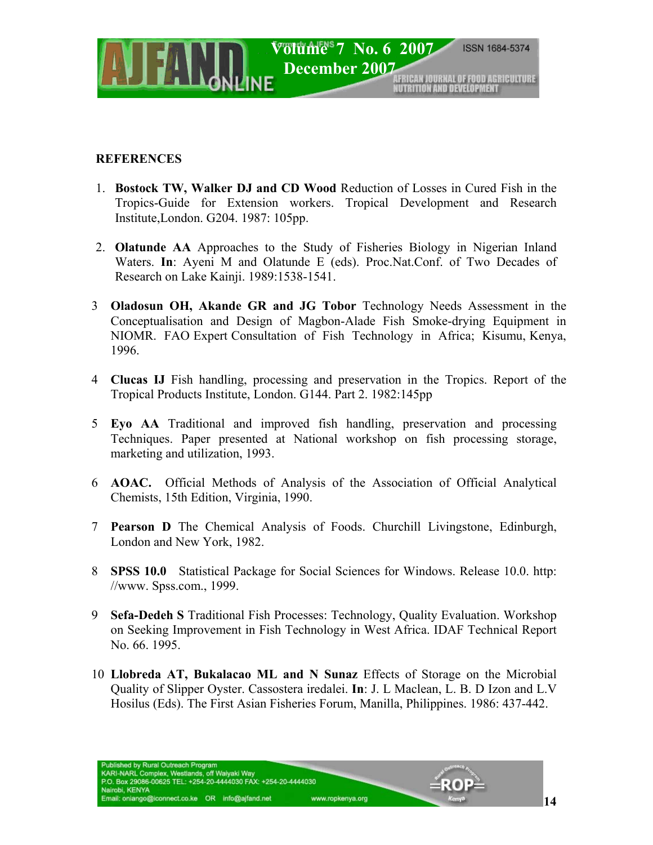

## **REFERENCES**

- 1. **Bostock TW, Walker DJ and CD Wood** Reduction of Losses in Cured Fish in the Tropics-Guide for Extension workers. Tropical Development and Research Institute,London. G204. 1987: 105pp.
- 2. **Olatunde AA** Approaches to the Study of Fisheries Biology in Nigerian Inland Waters. **In**: Ayeni M and Olatunde E (eds). Proc.Nat.Conf. of Two Decades of Research on Lake Kainji. 1989:1538-1541.
- 3 **Oladosun OH, Akande GR and JG Tobor** Technology Needs Assessment in the Conceptualisation and Design of Magbon-Alade Fish Smoke-drying Equipment in NIOMR. FAO Expert Consultation of Fish Technology in Africa; Kisumu, Kenya, 1996.
- 4 **Clucas IJ** Fish handling, processing and preservation in the Tropics. Report of the Tropical Products Institute, London. G144. Part 2. 1982:145pp
- 5 **Eyo AA** Traditional and improved fish handling, preservation and processing Techniques. Paper presented at National workshop on fish processing storage, marketing and utilization, 1993.
- 6 **AOAC.** Official Methods of Analysis of the Association of Official Analytical Chemists, 15th Edition, Virginia, 1990.
- 7 **Pearson D** The Chemical Analysis of Foods. Churchill Livingstone, Edinburgh, London and New York, 1982.
- 8 **SPSS 10.0** Statistical Package for Social Sciences for Windows. Release 10.0. http: //www. Spss.com., 1999.
- 9 **Sefa-Dedeh S** Traditional Fish Processes: Technology, Quality Evaluation. Workshop on Seeking Improvement in Fish Technology in West Africa. IDAF Technical Report No. 66. 1995.
- 10 **Llobreda AT, Bukalacao ML and N Sunaz** Effects of Storage on the Microbial Quality of Slipper Oyster. Cassostera iredalei. **In**: J. L Maclean, L. B. D Izon and L.V Hosilus (Eds). The First Asian Fisheries Forum, Manilla, Philippines. 1986: 437-442.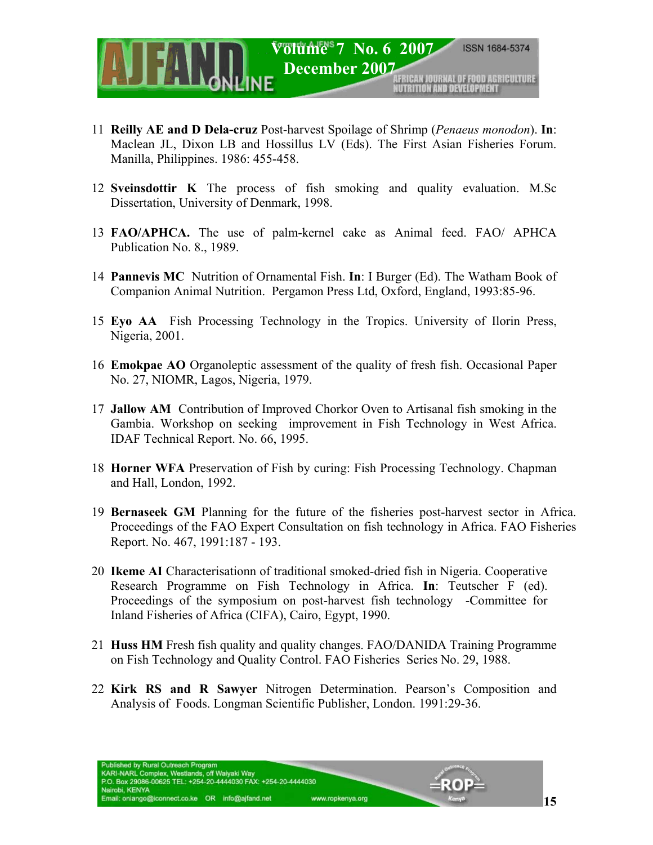

- 11 **Reilly AE and D Dela-cruz** Post-harvest Spoilage of Shrimp (*Penaeus monodon*). **In**: Maclean JL, Dixon LB and Hossillus LV (Eds). The First Asian Fisheries Forum. Manilla, Philippines. 1986: 455-458.
- 12 **Sveinsdottir K** The process of fish smoking and quality evaluation. M.Sc Dissertation, University of Denmark, 1998.
- 13 **FAO/APHCA.** The use of palm-kernel cake as Animal feed. FAO/ APHCA Publication No. 8., 1989.
- 14 **Pannevis MC** Nutrition of Ornamental Fish. **In**: I Burger (Ed). The Watham Book of Companion Animal Nutrition. Pergamon Press Ltd, Oxford, England, 1993:85-96.
- 15 **Eyo AA** Fish Processing Technology in the Tropics. University of Ilorin Press, Nigeria, 2001.
- 16 **Emokpae AO** Organoleptic assessment of the quality of fresh fish. Occasional Paper No. 27, NIOMR, Lagos, Nigeria, 1979.
- 17 **Jallow AM** Contribution of Improved Chorkor Oven to Artisanal fish smoking in the Gambia. Workshop on seeking improvement in Fish Technology in West Africa. IDAF Technical Report. No. 66, 1995.
- 18 **Horner WFA** Preservation of Fish by curing: Fish Processing Technology. Chapman and Hall, London, 1992.
- 19 **Bernaseek GM** Planning for the future of the fisheries post-harvest sector in Africa. Proceedings of the FAO Expert Consultation on fish technology in Africa. FAO Fisheries Report. No. 467, 1991:187 - 193.
- 20 **Ikeme AI** Characterisationn of traditional smoked-dried fish in Nigeria. Cooperative Research Programme on Fish Technology in Africa. **In**: Teutscher F (ed). Proceedings of the symposium on post-harvest fish technology -Committee for Inland Fisheries of Africa (CIFA), Cairo, Egypt, 1990.
- 21 **Huss HM** Fresh fish quality and quality changes. FAO/DANIDA Training Programme on Fish Technology and Quality Control. FAO Fisheries Series No. 29, 1988.
- 22 **Kirk RS and R Sawyer** Nitrogen Determination. Pearson's Composition and Analysis of Foods. Longman Scientific Publisher, London. 1991:29-36.